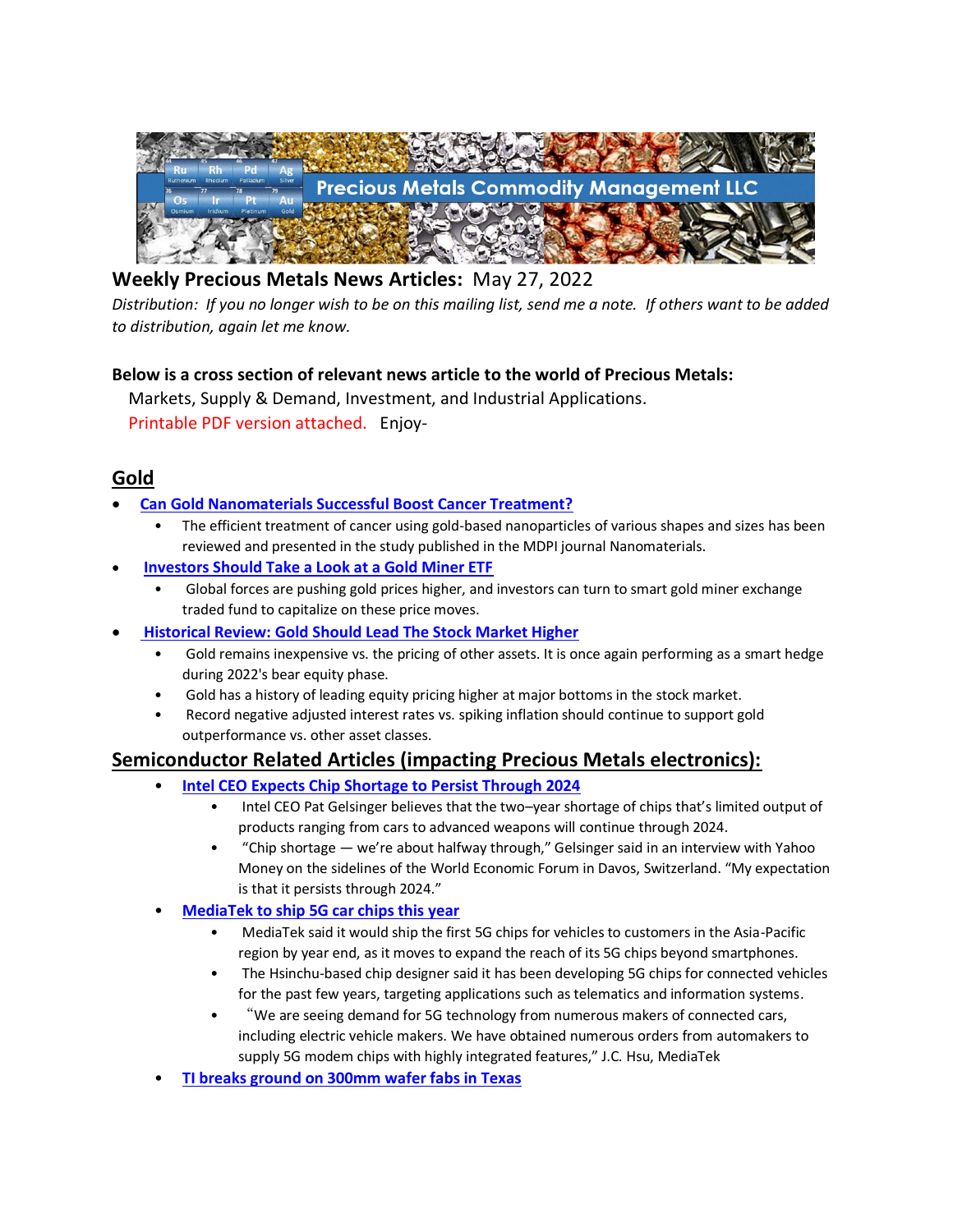

# **Weekly Precious Metals News Articles:** May 27, 2022

*Distribution: If you no longer wish to be on this mailing list, send me a note. If others want to be added to distribution, again let me know.*

### **Below is a cross section of relevant news article to the world of Precious Metals:**

 Markets, Supply & Demand, Investment, and Industrial Applications. Printable PDF version attached. Enjoy-

## **Gold**

- **[Can Gold Nanomaterials Successful Boost Cancer Treatment?](https://www.azonano.com/news.aspx?newsID=39173)**
	- The efficient treatment of cancer using gold-based nanoparticles of various shapes and sizes has been reviewed and presented in the study published in the MDPI journal Nanomaterials.
- **[Investors Should Take a Look at a Gold Miner ETF](https://www.nasdaq.com/articles/investors-should-take-a-look-at-a-gold-miner-etf)**
	- Global forces are pushing gold prices higher, and investors can turn to smart gold miner exchange traded fund to capitalize on these price moves.
- **[Historical Review: Gold Should Lead The Stock Market Higher](https://seekingalpha.com/article/4514112-historical-review-gold-should-lead-the-stock-market-higher)**
	- Gold remains inexpensive vs. the pricing of other assets. It is once again performing as a smart hedge during 2022's bear equity phase.
	- Gold has a history of leading equity pricing higher at major bottoms in the stock market.
	- Record negative adjusted interest rates vs. spiking inflation should continue to support gold outperformance vs. other asset classes.

# **Semiconductor Related Articles (impacting Precious Metals electronics):**

- **[Intel CEO Expects Chip Shortage to Persist Through 2024](https://www.eetimes.com/intel-ceo-expects-chip-shortage-to-persist-through-2024/)**
	- Intel CEO Pat Gelsinger believes that the two–year shortage of chips that's limited output of products ranging from cars to advanced weapons will continue through 2024.
	- "Chip shortage we're about halfway through," Gelsinger said in an interview with Yahoo Money on the sidelines of the World Economic Forum in Davos, Switzerland. "My expectation is that it persists through 2024."
- **[MediaTek to ship 5G car chips this year](https://www.taipeitimes.com/News/biz/archives/2022/05/24/2003778679)**
	- MediaTek said it would ship the first 5G chips for vehicles to customers in the Asia-Pacific region by year end, as it moves to expand the reach of its 5G chips beyond smartphones.
	- The Hsinchu-based chip designer said it has been developing 5G chips for connected vehicles for the past few years, targeting applications such as telematics and information systems.
	- "We are seeing demand for 5G technology from numerous makers of connected cars, including electric vehicle makers. We have obtained numerous orders from automakers to supply 5G modem chips with highly integrated features," J.C. Hsu, MediaTek
- **[TI breaks ground on 300mm wafer fabs in Texas](https://www.digitimes.com/news/a20220519VL204/ic-manufacturing-texas-instruments.html)**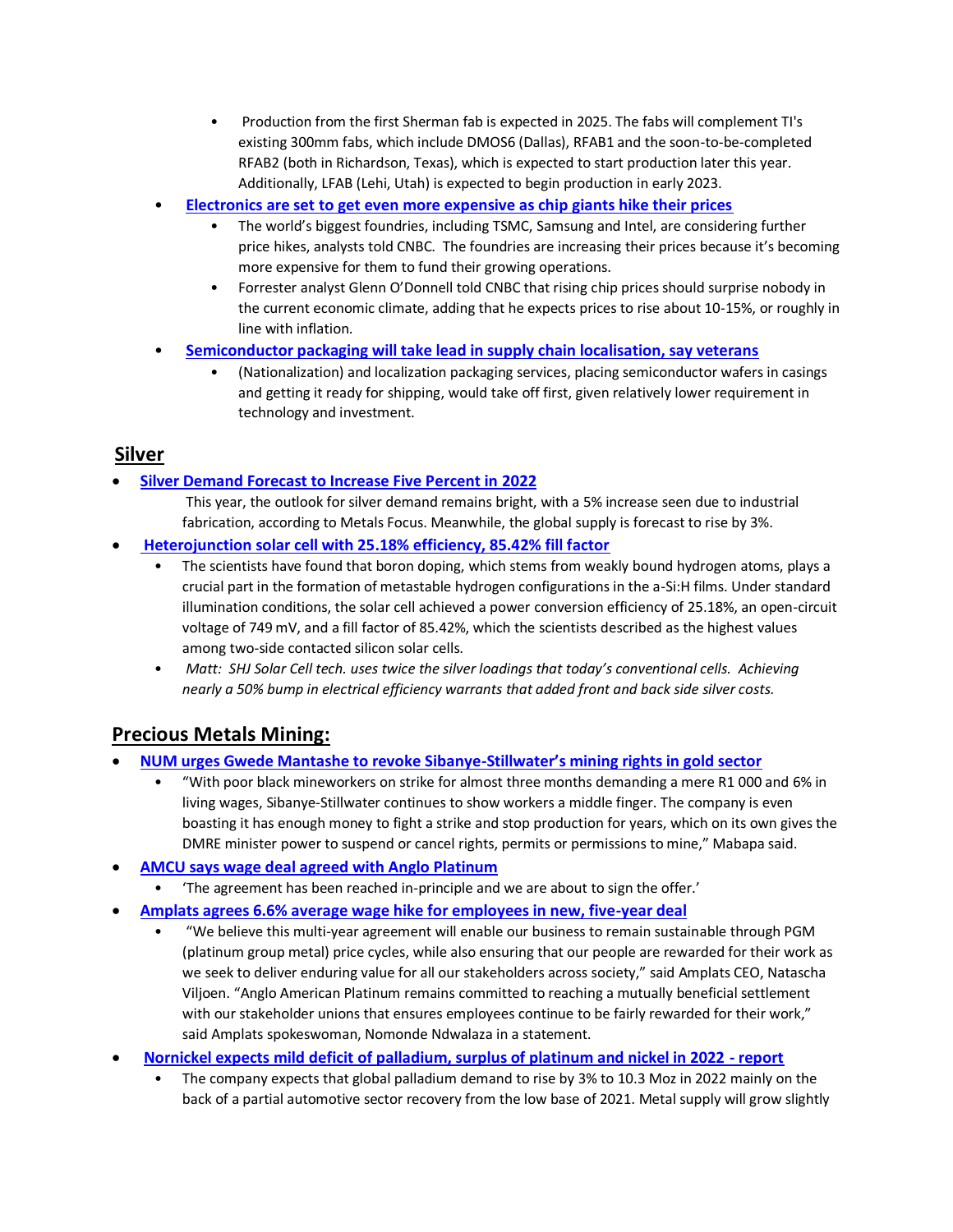- Production from the first Sherman fab is expected in 2025. The fabs will complement TI's existing 300mm fabs, which include DMOS6 (Dallas), RFAB1 and the soon-to-be-completed RFAB2 (both in Richardson, Texas), which is expected to start production later this year. Additionally, LFAB (Lehi, Utah) is expected to begin production in early 2023.
- **[Electronics are set to get even more expensive as chip giants hike their prices](https://www.cnbc.com/2022/05/24/electronics-set-to-rise-as-chip-giants-like-tsmc-samsung-hike-prices.html)**
	- The world's biggest foundries, including TSMC, Samsung and Intel, are considering further price hikes, analysts told CNBC. The foundries are increasing their prices because it's becoming more expensive for them to fund their growing operations.
	- Forrester analyst Glenn O'Donnell told CNBC that rising chip prices should surprise nobody in the current economic climate, adding that he expects prices to rise about 10-15%, or roughly in line with inflation.
- **[Semiconductor packaging will take lead in supply chain localisation, say veterans](https://economictimes.indiatimes.com/tech/technology/semiconductor-packaging-will-take-lead-in-supply-chain-localisation-say-veterans/articleshow/91748457.cms)**
	- (Nationalization) and localization packaging services, placing semiconductor wafers in casings and getting it ready for shipping, would take off first, given relatively lower requirement in technology and investment.

### **Silver**

• **[Silver Demand Forecast to Increase Five Percent in 2022](https://coinweek.com/bullion-report/silver-demand-forecast-to-increase-five-percent-in-2022/)**

This year, the outlook for silver demand remains bright, with a 5% increase seen due to industrial fabrication, according to Metals Focus. Meanwhile, the global supply is forecast to rise by 3%.

- **[Heterojunction solar cell with 25.18% efficiency, 85.42% fill factor](https://www.pv-magazine.com/2022/05/23/heterojunction-solar-cell-with-25-18-efficiency-85-42-fill-factor/)**
	- The scientists have found that boron doping, which stems from weakly bound hydrogen atoms, plays a crucial part in the formation of metastable hydrogen configurations in the a-Si:H films. Under standard illumination conditions, the solar cell achieved a power conversion efficiency of 25.18%, an open-circuit voltage of 749 mV, and a fill factor of 85.42%, which the scientists described as the highest values among two-side contacted silicon solar cells.
	- *Matt: SHJ Solar Cell tech. uses twice the silver loadings that today's conventional cells. Achieving nearly a 50% bump in electrical efficiency warrants that added front and back side silver costs.*

# **Precious Metals Mining:**

- **[NUM urges Gwede Mantashe to revoke Sibanye-](https://www.msn.com/en-za/news/other/num-urges-gwede-mantashe-to-revoke-sibanye-stillwater-e2-80-99s-mining-rights-in-gold-sector/ar-AAXCg7E?ocid=BingNewsSearch)Stillwater's mining rights in gold sector**
	- "With poor black mineworkers on strike for almost three months demanding a mere R1 000 and 6% in living wages, Sibanye-Stillwater continues to show workers a middle finger. The company is even boasting it has enough money to fight a strike and stop production for years, which on its own gives the DMRE minister power to suspend or cancel rights, permits or permissions to mine," Mabapa said.
- **[AMCU says wage deal agreed with Anglo Platinum](https://www.moneyweb.co.za/mineweb/sa-union-says-wage-deal-agreed-with-anglo-platinum/)**
	- 'The agreement has been reached in-principle and we are about to sign the offer.'
- **[Amplats agrees 6.6% average wage hike for employees in new, five-year deal](https://www.miningmx.com/top-story/49640-amplats-agrees-6-6-average-wage-hike-for-employees-in-new-five-year-deal/)**
	- "We believe this multi-year agreement will enable our business to remain sustainable through PGM (platinum group metal) price cycles, while also ensuring that our people are rewarded for their work as we seek to deliver enduring value for all our stakeholders across society," said Amplats CEO, Natascha Viljoen. "Anglo American Platinum remains committed to reaching a mutually beneficial settlement with our stakeholder unions that ensures employees continue to be fairly rewarded for their work," said Amplats spokeswoman, Nomonde Ndwalaza in a statement.
- **[Nornickel expects mild deficit of palladium, surplus of platinum and nickel in 2022 -](https://www.kitco.com/news/2022-05-24/Nornickel-expects-mild-deficit-of-palladium-surplus-of-platinum-and-nickel-in-2022-report.html) report**
	- The company expects that global palladium demand to rise by 3% to 10.3 Moz in 2022 mainly on the back of a partial automotive sector recovery from the low base of 2021. Metal supply will grow slightly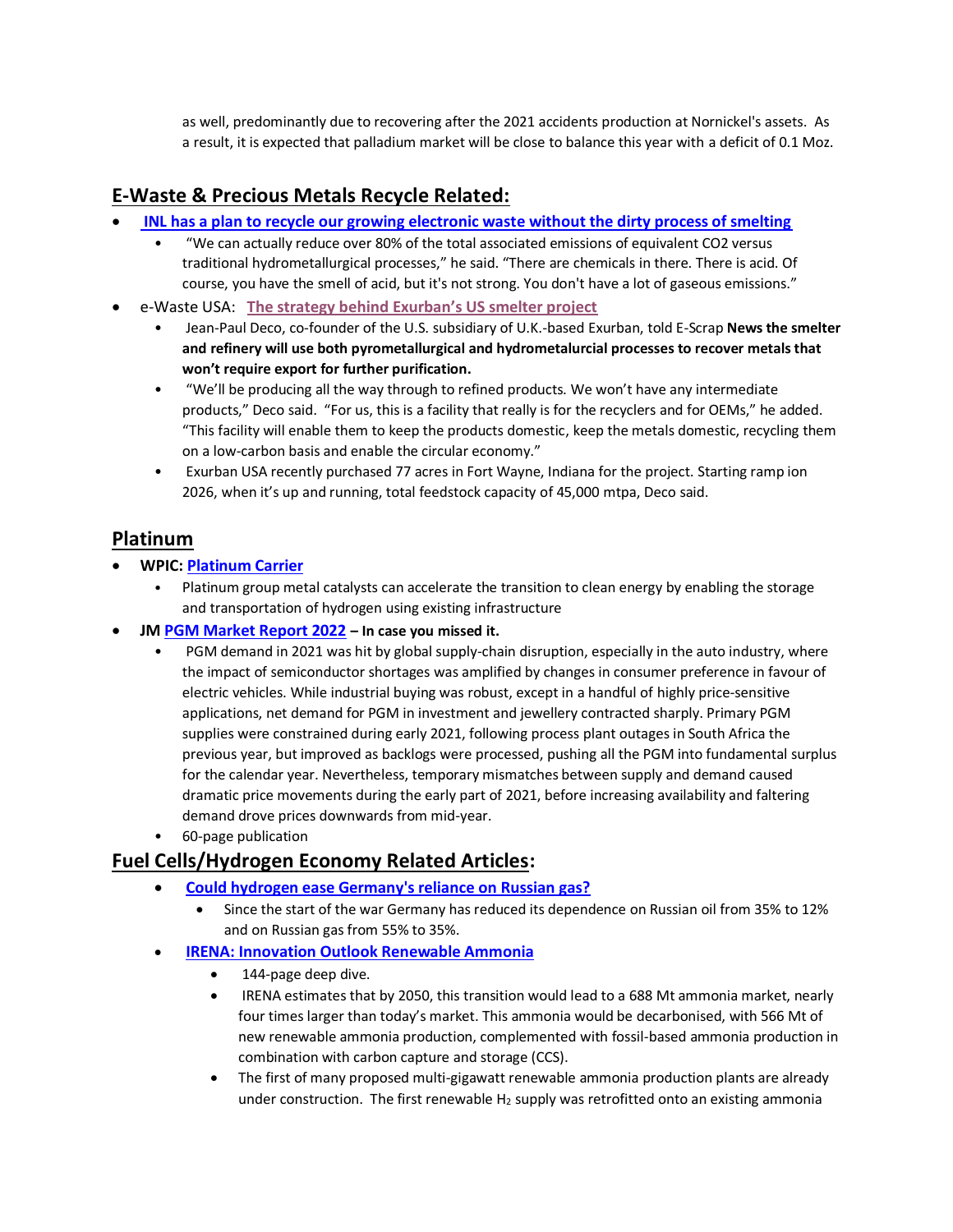as well, predominantly due to recovering after the 2021 accidents production at Nornickel's assets. As a result, it is expected that palladium market will be close to balance this year with a deficit of 0.1 Moz.

# **E-Waste & Precious Metals Recycle Related:**

- **[INL has a plan to recycle our growing electronic waste without the dirty process of smelting](https://www.boisestatepublicradio.org/news/2022-05-23/inl-has-a-plan-to-recycle-our-growing-electronic-waste-without-the-dirty-process-of-smelting)**
	- "We can actually reduce over 80% of the total associated emissions of equivalent CO2 versus traditional hydrometallurgical processes," he said. "There are chemicals in there. There is acid. Of course, you have the smell of acid, but it's not strong. You don't have a lot of gaseous emissions."
- e-Waste USA: **[The strategy behind Exurban's US smelter project](https://resource-recycling.com/e-scrap/2022/05/25/the-strategy-behind-exurbans-us-smelter-project/)**
	- Jean-Paul Deco, co-founder of the U.S. subsidiary of U.K.-based Exurban, told E-Scrap **News the smelter and refinery will use both pyrometallurgical and hydrometalurcial processes to recover metals that won't require export for further purification.**
	- "We'll be producing all the way through to refined products. We won't have any intermediate products," Deco said. "For us, this is a facility that really is for the recyclers and for OEMs," he added. "This facility will enable them to keep the products domestic, keep the metals domestic, recycling them on a low-carbon basis and enable the circular economy."
	- Exurban USA recently purchased 77 acres in Fort Wayne, Indiana for the project. Starting ramp ion 2026, when it's up and running, total feedstock capacity of 45,000 mtpa, Deco said.

## **Platinum**

- **WPIC: [Platinum Carrier](https://platinuminvestment.com/files/sixtysecs/WPIC_60seconds__Platinum_carrier_05252022.pdf)** 
	- Platinum group metal catalysts can accelerate the transition to clean energy by enabling the storage and transportation of hydrogen using existing infrastructure
- **J[M PGM Market Report 2022](https://platinum.matthey.com/documents/40646/41236/PGM-market-report-May-2022.pdf/542bcada-f4ac-a673-5f95-ad1bbfca5106?t=1652438985873) – In case you missed it.**
	- PGM demand in 2021 was hit by global supply-chain disruption, especially in the auto industry, where the impact of semiconductor shortages was amplified by changes in consumer preference in favour of electric vehicles. While industrial buying was robust, except in a handful of highly price-sensitive applications, net demand for PGM in investment and jewellery contracted sharply. Primary PGM supplies were constrained during early 2021, following process plant outages in South Africa the previous year, but improved as backlogs were processed, pushing all the PGM into fundamental surplus for the calendar year. Nevertheless, temporary mismatches between supply and demand caused dramatic price movements during the early part of 2021, before increasing availability and faltering demand drove prices downwards from mid-year.
	- 60-page publication

# **Fuel Cells/Hydrogen Economy Related Articles:**

- **[Could hydrogen ease Germany's reliance on Russian gas?](https://www.bbc.com/news/business-61406077)**
	- Since the start of the war Germany has reduced its dependence on Russian oil from 35% to 12% and on Russian gas from 55% to 35%.
- **IRENA: [Innovation Outlook Renewable Ammonia](https://energycentral.com/system/files/ece/nodes/548042/irena_innovation_outlook_ammonia_2022.pdf)**
	- 144-page deep dive.
	- IRENA estimates that by 2050, this transition would lead to a 688 Mt ammonia market, nearly four times larger than today's market. This ammonia would be decarbonised, with 566 Mt of new renewable ammonia production, complemented with fossil-based ammonia production in combination with carbon capture and storage (CCS).
	- The first of many proposed multi-gigawatt renewable ammonia production plants are already under construction. The first renewable  $H_2$  supply was retrofitted onto an existing ammonia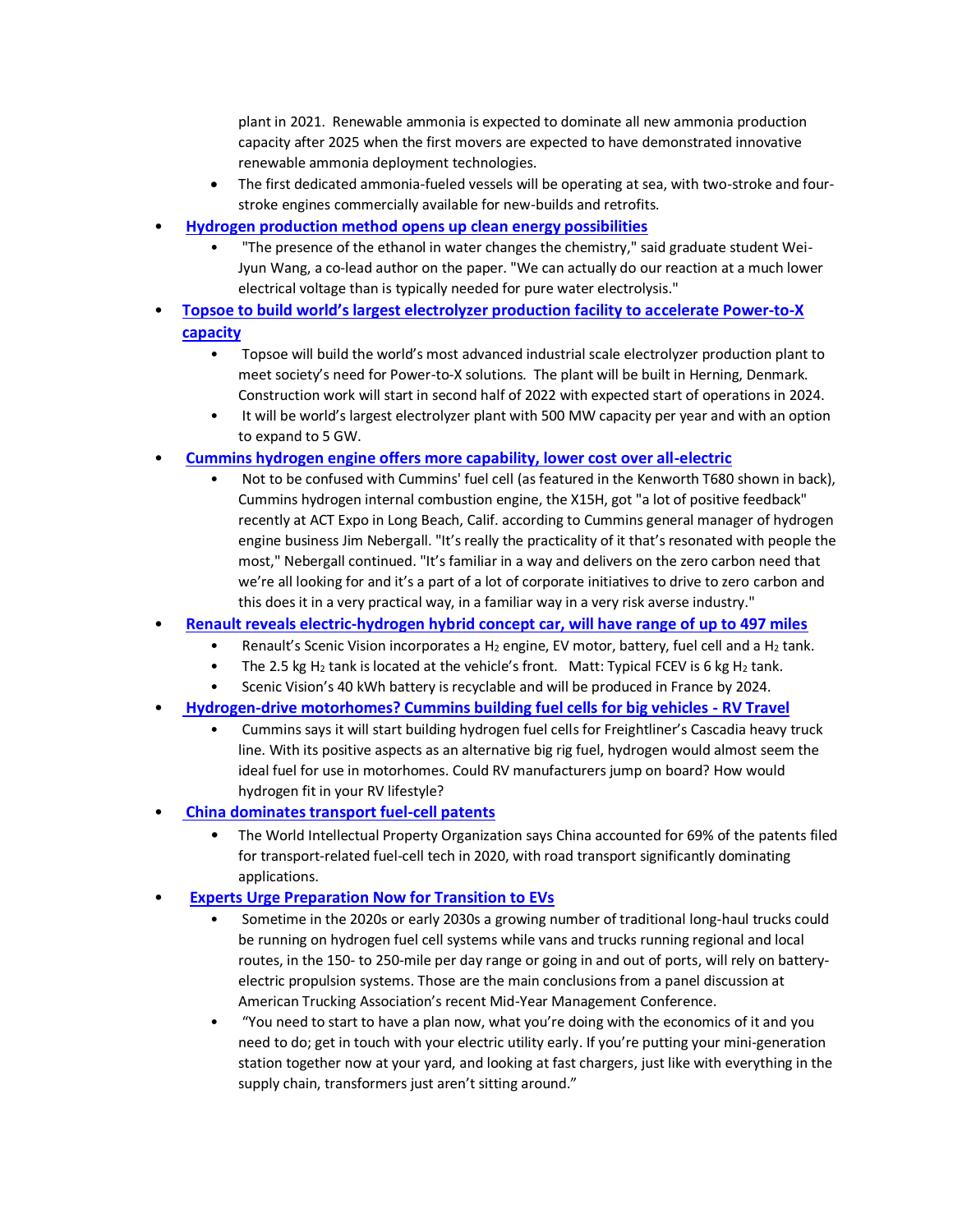plant in 2021. Renewable ammonia is expected to dominate all new ammonia production capacity after 2025 when the first movers are expected to have demonstrated innovative renewable ammonia deployment technologies.

- The first dedicated ammonia-fueled vessels will be operating at sea, with two-stroke and fourstroke engines commercially available for new-builds and retrofits.
- **[Hydrogen production method opens up clean energy possibilities](https://www.sciencedaily.com/releases/2022/05/220523114915.htm)**
	- "The presence of the ethanol in water changes the chemistry," said graduate student Wei-Jyun Wang, a co-lead author on the paper. "We can actually do our reaction at a much lower electrical voltage than is typically needed for pure water electrolysis."
- **[Topsoe to build world's largest electrolyzer production facility to ac](https://blog.topsoe.com/topsoe-to-build-worlds-largest-electrolyzer-production-facility-to-accelerate-power-to-x-capacity)celerate Power-to-X [capacity](https://blog.topsoe.com/topsoe-to-build-worlds-largest-electrolyzer-production-facility-to-accelerate-power-to-x-capacity)**
	- Topsoe will build the world's most advanced industrial scale electrolyzer production plant to meet society's need for Power-to-X solutions. The plant will be built in Herning, Denmark. Construction work will start in second half of 2022 with expected start of operations in 2024.
	- It will be world's largest electrolyzer plant with 500 MW capacity per year and with an option to expand to 5 GW.
- **[Cummins hydrogen engine offers more capability, lower cost over all-electric](https://www.ccjdigital.com/alternative-power/article/15292318/cummins-hydrogen-engine-offers-advantages-over-allelectric)**
	- Not to be confused with Cummins' fuel cell (as featured in the Kenworth T680 shown in back), Cummins hydrogen internal combustion engine, the X15H, got "a lot of positive feedback" recently at ACT Expo in Long Beach, Calif. according to Cummins general manager of hydrogen engine business Jim Nebergall. "It's really the practicality of it that's resonated with people the most," Nebergall continued. "It's familiar in a way and delivers on the zero carbon need that we're all looking for and it's a part of a lot of corporate initiatives to drive to zero carbon and this does it in a very practical way, in a familiar way in a very risk averse industry."
- **[Renault reveals electric-hydrogen hybrid concept car, will have range of up to 497 miles](https://www.cnbc.com/2022/05/20/renault-says-electric-hydrogen-concept-will-have-497-mile-range.html)**
	- Renault's Scenic Vision incorporates a H<sub>2</sub> engine, EV motor, battery, fuel cell and a H<sub>2</sub> tank.
	- The 2.5 kg H<sub>2</sub> tank is located at the vehicle's front. Matt: Typical FCEV is 6 kg H<sub>2</sub> tank.
	- Scenic Vision's 40 kWh battery is recyclable and will be produced in France by 2024.
- **[Hydrogen-drive motorhomes? Cummins building fuel cells for big vehicles -](https://www.rvtravel.com/hydrogen-drive-motorhomes-cummins-building-fuel-cells-big-vehicles-rvt-1053b/) RV Travel**
	- Cummins says it will start building hydrogen fuel cells for Freightliner's Cascadia heavy truck line. With its positive aspects as an alternative big rig fuel, hydrogen would almost seem the ideal fuel for use in motorhomes. Could RV manufacturers jump on board? How would hydrogen fit in your RV lifestyle?
- **[China dominates transport fuel-cell patents](https://www.pv-magazine.com/2022/05/24/china-dominates-transport-fuel-cell-patents/)**
	- The World Intellectual Property Organization says China accounted for 69% of the patents filed for transport-related fuel-cell tech in 2020, with road transport significantly dominating applications.
- **[Experts Urge Preparation Now for Transition to EVs](https://www.ttnews.com/articles/experts-urge-preparation-now-transition-evs)**
	- Sometime in the 2020s or early 2030s a growing number of traditional long-haul trucks could be running on hydrogen fuel cell systems while vans and trucks running regional and local routes, in the 150- to 250-mile per day range or going in and out of ports, will rely on batteryelectric propulsion systems. Those are the main conclusions from a panel discussion at American Trucking Association's recent Mid-Year Management Conference.
	- "You need to start to have a plan now, what you're doing with the economics of it and you need to do; get in touch with your electric utility early. If you're putting your mini-generation station together now at your yard, and looking at fast chargers, just like with everything in the supply chain, transformers just aren't sitting around."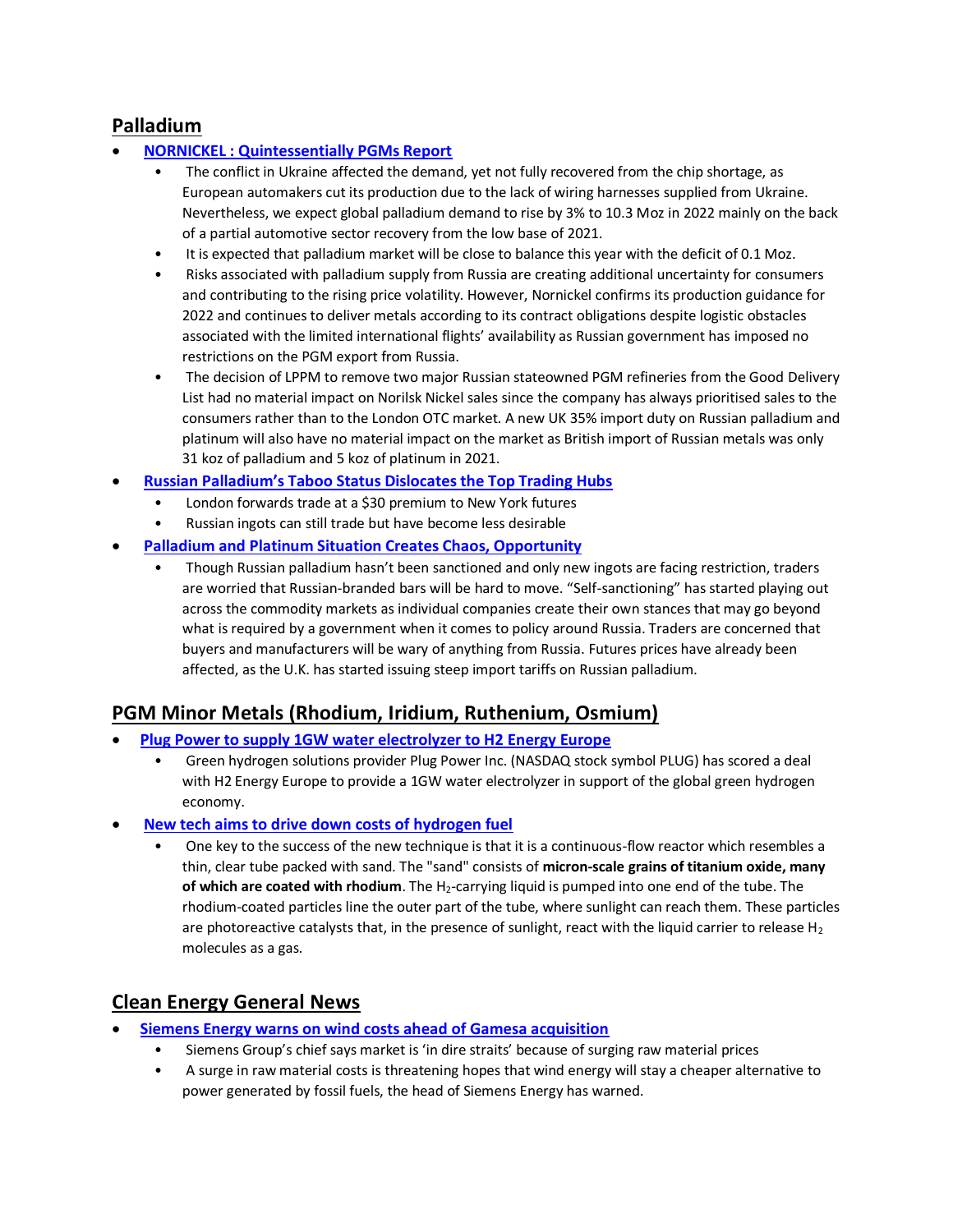## **Palladium**

#### • **[NORNICKEL : Quintessentially PGMs Report](https://www.nornickel.com/upload/iblock/4f0/2022_05_23-Quintessentially-PGMs.pdf)**

- The conflict in Ukraine affected the demand, yet not fully recovered from the chip shortage, as European automakers cut its production due to the lack of wiring harnesses supplied from Ukraine. Nevertheless, we expect global palladium demand to rise by 3% to 10.3 Moz in 2022 mainly on the back of a partial automotive sector recovery from the low base of 2021.
- It is expected that palladium market will be close to balance this year with the deficit of 0.1 Moz.
- Risks associated with palladium supply from Russia are creating additional uncertainty for consumers and contributing to the rising price volatility. However, Nornickel confirms its production guidance for 2022 and continues to deliver metals according to its contract obligations despite logistic obstacles associated with the limited international flights' availability as Russian government has imposed no restrictions on the PGM export from Russia.
- The decision of LPPM to remove two major Russian stateowned PGM refineries from the Good Delivery List had no material impact on Norilsk Nickel sales since the company has always prioritised sales to the consumers rather than to the London OTC market. A new UK 35% import duty on Russian palladium and platinum will also have no material impact on the market as British import of Russian metals was only 31 koz of palladium and 5 koz of platinum in 2021.
- **[Russian Palladium's Taboo Status Dislocates the Top Trading Hubs](https://www.bloomberg.com/news/articles/2022-05-23/russian-palladium-s-taboo-status-dislocates-the-top-trading-hubs)**
	- London forwards trade at a \$30 premium to New York futures
	- Russian ingots can still trade but have become less desirable

#### • **[Palladium and Platinum Situation Creates Chaos, Opportunity](https://www.nasdaq.com/articles/palladium-and-platinum-situation-creates-chaos-opportunity)**

• Though Russian palladium hasn't been sanctioned and only new ingots are facing restriction, traders are worried that Russian-branded bars will be hard to move. "Self-sanctioning" has started playing out across the commodity markets as individual companies create their own stances that may go beyond what is required by a government when it comes to policy around Russia. Traders are concerned that buyers and manufacturers will be wary of anything from Russia. Futures prices have already been affected, as the U.K. has started issuing steep import tariffs on Russian palladium.

### **PGM Minor Metals (Rhodium, Iridium, Ruthenium, Osmium)**

- **[Plug Power to supply 1GW water electrolyzer to H2 Energy Europe](https://www.hydrogenfuelnews.com/water-electrolyzer-plug-power/8552783/?awt_a=1jpsU&awt_l=LyQiC&awt_m=gGcHB.sK785DlsU)**
	- Green hydrogen solutions provider Plug Power Inc. (NASDAQ stock symbol PLUG) has scored a deal with H2 Energy Europe to provide a 1GW water electrolyzer in support of the global green hydrogen economy.
- **[New tech aims to drive down costs of hydrogen fuel](https://www.sciencedaily.com/releases/2022/05/220523115413.htm)**
	- One key to the success of the new technique is that it is a continuous-flow reactor which resembles a thin, clear tube packed with sand. The "sand" consists of **micron-scale grains of titanium oxide, many of which are coated with rhodium**. The H<sub>2</sub>-carrying liquid is pumped into one end of the tube. The rhodium-coated particles line the outer part of the tube, where sunlight can reach them. These particles are photoreactive catalysts that, in the presence of sunlight, react with the liquid carrier to release  $H_2$ molecules as a gas.

## **Clean Energy General News**

- **[Siemens Energy warns on wind costs ahead of Gamesa acquisition](https://www.ft.com/content/83ca7343-6852-4490-9adf-4ae40f5dad3e?sharetype=blocked)**
	- Siemens Group's chief says market is 'in dire straits' because of surging raw material prices
	- A surge in raw material costs is threatening hopes that wind energy will stay a cheaper alternative to power generated by fossil fuels, the head of Siemens Energy has warned.